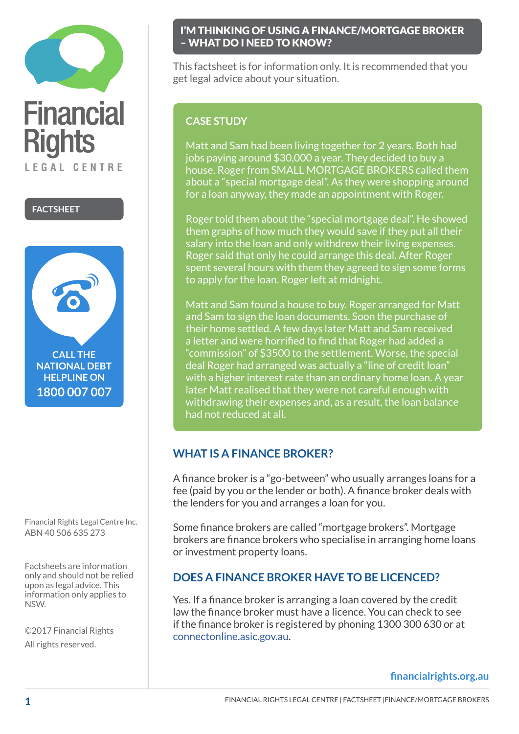



Financial Rights Legal Centre Inc. ABN 40 506 635 273

Factsheets are information only and should not be relied upon as legal advice. This information only applies to NSW.

©2017 Financial Rights All rights reserved.

### I'M THINKING OF USING A FINANCE/MORTGAGE BROKER – WHAT DO I NEED TO KNOW?

This factsheet is for information only. It is recommended that you get legal advice about your situation.

# **CASE STUDY**

Matt and Sam had been living together for 2 years. Both had jobs paying around \$30,000 a year. They decided to buy a house. Roger from SMALL MORTGAGE BROKERS called them about a "special mortgage deal". As they were shopping around for a loan anyway, they made an appointment with Roger.

Roger told them about the "special mortgage deal". He showed them graphs of how much they would save if they put all their salary into the loan and only withdrew their living expenses. Roger said that only he could arrange this deal. After Roger spent several hours with them they agreed to sign some forms to apply for the loan. Roger left at midnight.

Matt and Sam found a house to buy. Roger arranged for Matt and Sam to sign the loan documents. Soon the purchase of their home settled. A few days later Matt and Sam received a letter and were horrified to find that Roger had added a "commission" of \$3500 to the settlement. Worse, the special deal Roger had arranged was actually a "line of credit loan" with a higher interest rate than an ordinary home loan. A year later Matt realised that they were not careful enough with withdrawing their expenses and, as a result, the loan balance had not reduced at all.

# **WHAT IS A FINANCE BROKER?**

A finance broker is a "go-between" who usually arranges loans for a fee (paid by you or the lender or both). A finance broker deals with the lenders for you and arranges a loan for you.

Some finance brokers are called "mortgage brokers". Mortgage brokers are finance brokers who specialise in arranging home loans or investment property loans.

# **DOES A FINANCE BROKER HAVE TO BE LICENCED?**

Yes. If a finance broker is arranging a loan covered by the credit law the finance broker must have a licence. You can check to see if the finance broker is registered by phoning 1300 300 630 or at connectonline[.asic.gov.au](http://connectonline.asic.gov.au).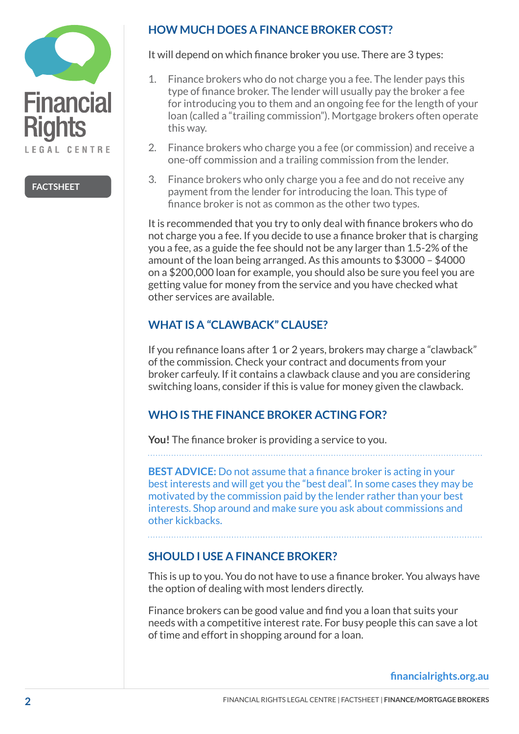

## **HOW MUCH DOES A FINANCE BROKER COST?**

It will depend on which finance broker you use. There are 3 types:

- 1. Finance brokers who do not charge you a fee. The lender pays this type of finance broker. The lender will usually pay the broker a fee for introducing you to them and an ongoing fee for the length of your loan (called a "trailing commission"). Mortgage brokers often operate this way.
- 2. Finance brokers who charge you a fee (or commission) and receive a one-off commission and a trailing commission from the lender.
- 3. Finance brokers who only charge you a fee and do not receive any payment from the lender for introducing the loan. This type of finance broker is not as common as the other two types.

It is recommended that you try to only deal with finance brokers who do not charge you a fee. If you decide to use a finance broker that is charging you a fee, as a guide the fee should not be any larger than 1.5-2% of the amount of the loan being arranged. As this amounts to \$3000 – \$4000 on a \$200,000 loan for example, you should also be sure you feel you are getting value for money from the service and you have checked what other services are available.

## **WHAT IS A "CLAWBACK" CLAUSE?**

If you refinance loans after 1 or 2 years, brokers may charge a "clawback" of the commission. Check your contract and documents from your broker carfeuly. If it contains a clawback clause and you are considering switching loans, consider if this is value for money given the clawback.

## **WHO IS THE FINANCE BROKER ACTING FOR?**

**You!** The finance broker is providing a service to you.

**BEST ADVICE:** Do not assume that a finance broker is acting in your best interests and will get you the "best deal". In some cases they may be motivated by the commission paid by the lender rather than your best interests. Shop around and make sure you ask about commissions and other kickbacks.

## **SHOULD I USE A FINANCE BROKER?**

This is up to you. You do not have to use a finance broker. You always have the option of dealing with most lenders directly.

Finance brokers can be good value and find you a loan that suits your needs with a competitive interest rate. For busy people this can save a lot of time and effort in shopping around for a loan.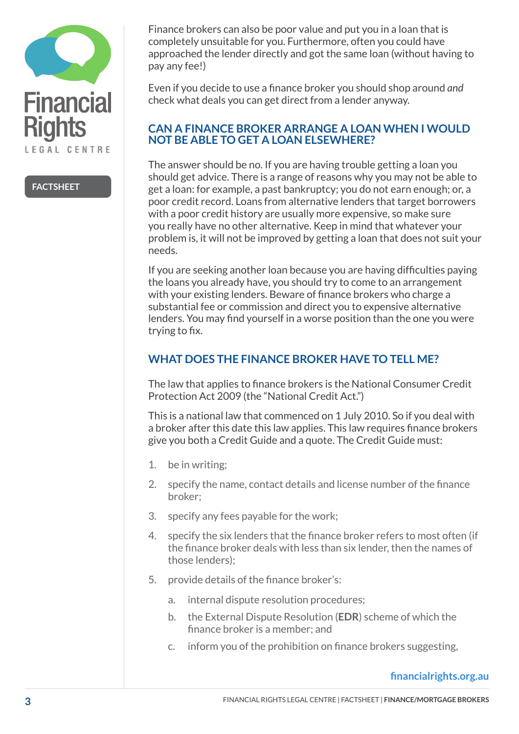

Finance brokers can also be poor value and put you in a loan that is completely unsuitable for you. Furthermore, often you could have approached the lender directly and got the same loan (without having to pay any fee!)

Even if you decide to use a finance broker you should shop around *and*  check what deals you can get direct from a lender anyway.

### **CAN A FINANCE BROKER ARRANGE A LOAN WHEN I WOULD NOT BE ABLE TO GET A LOAN ELSEWHERE?**

The answer should be no. If you are having trouble getting a loan you should get advice. There is a range of reasons why you may not be able to get a loan: for example, a past bankruptcy; you do not earn enough; or, a poor credit record. Loans from alternative lenders that target borrowers with a poor credit history are usually more expensive, so make sure you really have no other alternative. Keep in mind that whatever your problem is, it will not be improved by getting a loan that does not suit your needs.

If you are seeking another loan because you are having difficulties paying the loans you already have, you should try to come to an arrangement with your existing lenders. Beware of finance brokers who charge a substantial fee or commission and direct you to expensive alternative lenders. You may find yourself in a worse position than the one you were trying to fix.

## **WHAT DOES THE FINANCE BROKER HAVE TO TELL ME?**

The law that applies to finance brokers is the National Consumer Credit Protection Act 2009 (the "National Credit Act.")

This is a national law that commenced on 1 July 2010. So if you deal with a broker after this date this law applies. This law requires finance brokers give you both a Credit Guide and a quote. The Credit Guide must:

- 1. be in writing;
- 2. specify the name, contact details and license number of the finance broker;
- 3. specify any fees payable for the work;
- 4. specify the six lenders that the finance broker refers to most often (if the finance broker deals with less than six lender, then the names of those lenders);
- 5. provide details of the finance broker's:
	- a. internal dispute resolution procedures;
	- b. the External Dispute Resolution (**EDR**) scheme of which the finance broker is a member; and
	- c. inform you of the prohibition on finance brokers suggesting,

### **financialrights.org.au**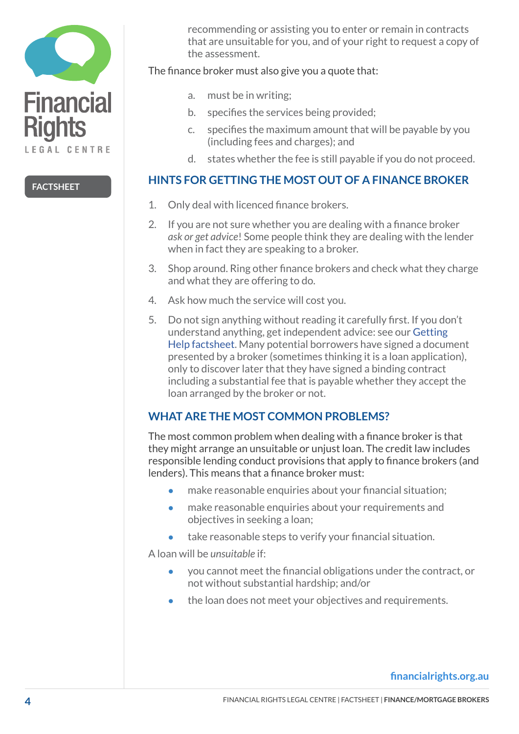

recommending or assisting you to enter or remain in contracts that are unsuitable for you, and of your right to request a copy of the assessment.

The finance broker must also give you a quote that:

- a. must be in writing;
- b. specifies the services being provided;
- c. specifies the maximum amount that will be payable by you (including fees and charges); and
- d. states whether the fee is still payable if you do not proceed.

### **HINTS FOR GETTING THE MOST OUT OF A FINANCE BROKER**

- 1. Only deal with licenced finance brokers.
- 2. If you are not sure whether you are dealing with a finance broker *ask or get advice*! Some people think they are dealing with the lender when in fact they are speaking to a broker.
- 3. Shop around. Ring other finance brokers and check what they charge and what they are offering to do.
- 4. Ask how much the service will cost you.
- 5. Do not sign anything without reading it carefully first. If you don't understand anything, get independent advice: see our [Getting](http://financialrights.org.au/getting-help/)  [Help](http://financialrights.org.au/getting-help/) factsheet. Many potential borrowers have signed a document presented by a broker (sometimes thinking it is a loan application), only to discover later that they have signed a binding contract including a substantial fee that is payable whether they accept the loan arranged by the broker or not.

## **WHAT ARE THE MOST COMMON PROBLEMS?**

The most common problem when dealing with a finance broker is that they might arrange an unsuitable or unjust loan. The credit law includes responsible lending conduct provisions that apply to finance brokers (and lenders). This means that a finance broker must:

- make reasonable enquiries about your financial situation;
- make reasonable enquiries about your requirements and objectives in seeking a loan;
- take reasonable steps to verify your financial situation.

A loan will be *unsuitable* if:

- you cannot meet the financial obligations under the contract, or not without substantial hardship; and/or
- the loan does not meet your objectives and requirements.

### **financialrights.org.au**